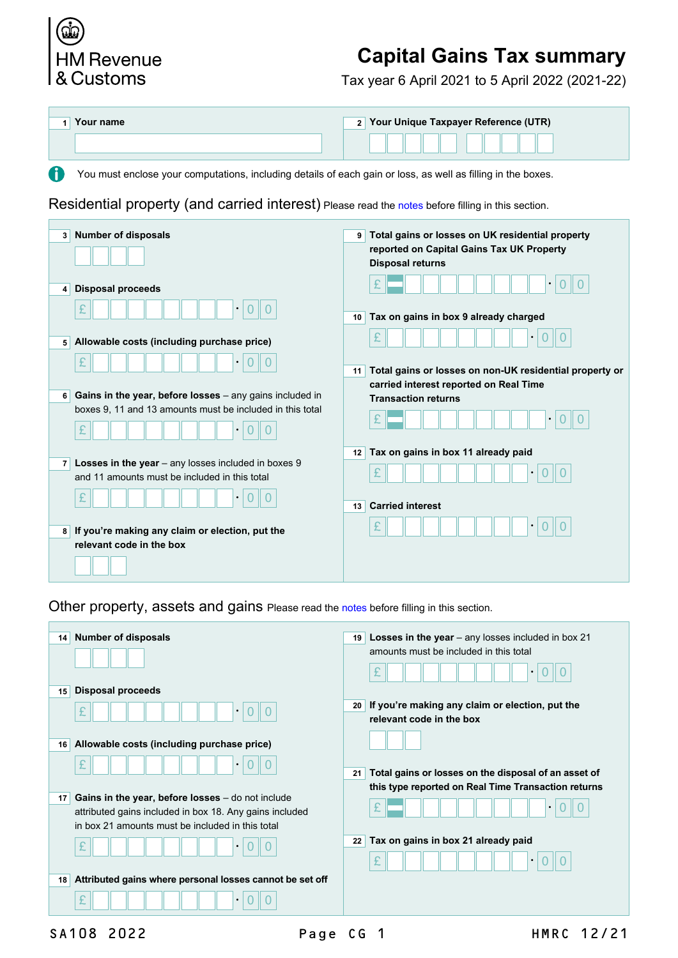

## **Capital Gains Tax summary**

Tax year 6 April 2021 to 5 April 2022 (2021-22)

| Your name | 2 Your Unique Taxpayer Reference (UTR) |
|-----------|----------------------------------------|
|           |                                        |

You must enclose your computations, including details of each gain or loss, as well as filling in the boxes.

Residential property (and carried interest) Please read the [notes](http://www.hmrc.gov.uk/worksheets/sa108-notes.pdf) before filling in this section.

| <b>Number of disposals</b><br>3 <sup>1</sup>                                                                                            | Total gains or losses on UK residential property<br>9 <sup>1</sup><br>reported on Capital Gains Tax UK Property<br><b>Disposal returns</b> |
|-----------------------------------------------------------------------------------------------------------------------------------------|--------------------------------------------------------------------------------------------------------------------------------------------|
| <b>Disposal proceeds</b><br>$\vert$<br>£<br>$\bullet$                                                                                   | Tax on gains in box 9 already charged<br>10 <sup>1</sup>                                                                                   |
| Allowable costs (including purchase price)<br>5 <sup>1</sup><br>£<br>$\bullet$                                                          | £<br>Total gains or losses on non-UK residential property or<br>11                                                                         |
| Gains in the year, before losses - any gains included in<br>6<br>boxes 9, 11 and 13 amounts must be included in this total<br>$\bullet$ | carried interest reported on Real Time<br><b>Transaction returns</b>                                                                       |
| Losses in the year $-$ any losses included in boxes $9$<br>7 <sup>1</sup><br>and 11 amounts must be included in this total              | Tax on gains in box 11 already paid<br>12<br>£<br>$\bullet$                                                                                |
| $\bullet$<br>If you're making any claim or election, put the<br>8                                                                       | <b>Carried interest</b><br>13 <sup>1</sup><br>£                                                                                            |
| relevant code in the box                                                                                                                |                                                                                                                                            |

Other property, assets and gains Please read the [notes](http://www.hmrc.gov.uk/worksheets/sa108-notes.pdf) before filling in this section.

| <b>Number of disposals</b><br>14                                                                                                                                         | <b>Losses in the year</b> $-$ any losses included in box 21<br>19                 |
|--------------------------------------------------------------------------------------------------------------------------------------------------------------------------|-----------------------------------------------------------------------------------|
|                                                                                                                                                                          | amounts must be included in this total                                            |
| <b>Disposal proceeds</b><br>15                                                                                                                                           |                                                                                   |
| £                                                                                                                                                                        | If you're making any claim or election, put the<br>20<br>relevant code in the box |
| Allowable costs (including purchase price)<br>16                                                                                                                         |                                                                                   |
| £                                                                                                                                                                        | Total gains or losses on the disposal of an asset of<br>21                        |
| Gains in the year, before losses $-$ do not include<br>17<br>attributed gains included in box 18. Any gains included<br>in box 21 amounts must be included in this total | this type reported on Real Time Transaction returns<br>٠                          |
| £                                                                                                                                                                        | Tax on gains in box 21 already paid<br>22                                         |
| Attributed gains where personal losses cannot be set off<br>18                                                                                                           |                                                                                   |
| £                                                                                                                                                                        |                                                                                   |
|                                                                                                                                                                          |                                                                                   |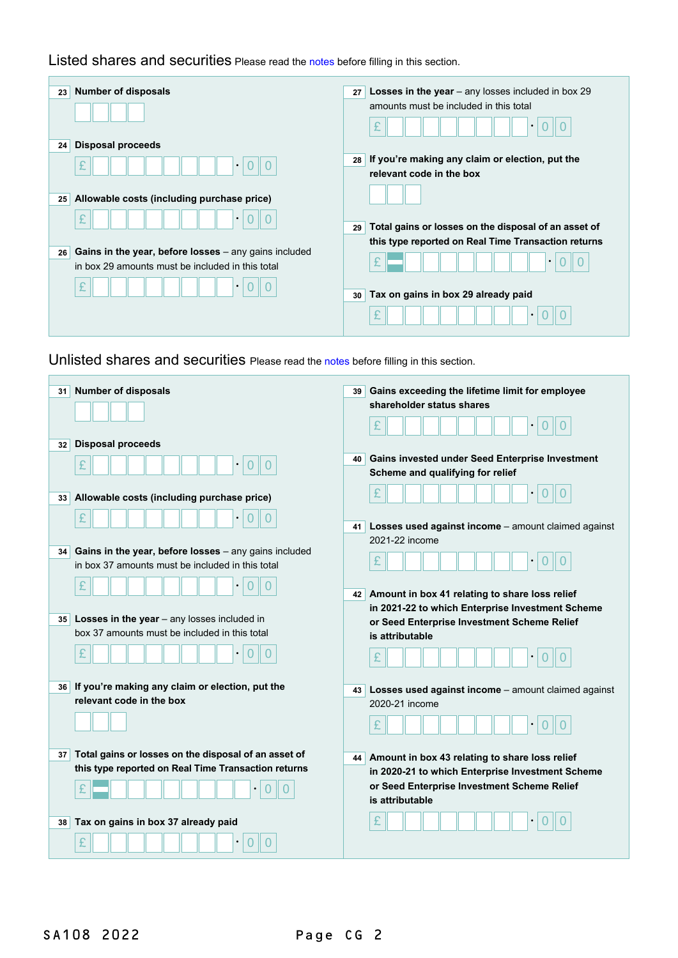Listed shares and securities Please read the [notes](http://www.hmrc.gov.uk/worksheets/sa108-notes.pdf) before filling in this section.

| <b>Number of disposals</b><br>23                                                                                | <b>Losses in the year</b> $-$ any losses included in box 29<br>27 |
|-----------------------------------------------------------------------------------------------------------------|-------------------------------------------------------------------|
|                                                                                                                 | amounts must be included in this total                            |
|                                                                                                                 | £<br>$\bullet$                                                    |
| Disposal proceeds<br>24                                                                                         |                                                                   |
| £<br>$\bullet$                                                                                                  | If you're making any claim or election, put the<br>28             |
|                                                                                                                 | relevant code in the box                                          |
| Allowable costs (including purchase price)<br>25                                                                |                                                                   |
| £<br>$\bullet$                                                                                                  |                                                                   |
|                                                                                                                 | Total gains or losses on the disposal of an asset of<br>29        |
|                                                                                                                 | this type reported on Real Time Transaction returns               |
| Gains in the year, before losses - any gains included<br>26<br>in box 29 amounts must be included in this total | £                                                                 |
| £<br>$\bullet$                                                                                                  |                                                                   |
|                                                                                                                 | Tax on gains in box 29 already paid<br>30                         |
|                                                                                                                 | £<br>$\bullet$                                                    |

Unlisted shares and securities Please read the [notes](http://www.hmrc.gov.uk/worksheets/sa108-notes.pdf) before filling in this section.

| <b>Number of disposals</b><br>31                                                                                | Gains exceeding the lifetime limit for employee<br>39<br>shareholder status shares |
|-----------------------------------------------------------------------------------------------------------------|------------------------------------------------------------------------------------|
| <b>Disposal proceeds</b><br>32                                                                                  | Gains invested under Seed Enterprise Investment<br>40                              |
| 0                                                                                                               | Scheme and qualifying for relief                                                   |
| Allowable costs (including purchase price)<br>33                                                                |                                                                                    |
|                                                                                                                 | Losses used against income - amount claimed against<br>41                          |
|                                                                                                                 | 2021-22 income                                                                     |
| Gains in the year, before losses - any gains included<br>34<br>in box 37 amounts must be included in this total | £                                                                                  |
| £                                                                                                               | Amount in box 41 relating to share loss relief<br>42                               |
|                                                                                                                 | in 2021-22 to which Enterprise Investment Scheme                                   |
| Losses in the year - any losses included in<br>35<br>box 37 amounts must be included in this total              | or Seed Enterprise Investment Scheme Relief                                        |
|                                                                                                                 | is attributable                                                                    |
|                                                                                                                 | £                                                                                  |
| If you're making any claim or election, put the<br>36                                                           | Losses used against income - amount claimed against<br>43                          |
| relevant code in the box                                                                                        | 2020-21 income                                                                     |
|                                                                                                                 |                                                                                    |
| Total gains or losses on the disposal of an asset of<br>37                                                      | Amount in box 43 relating to share loss relief<br>44                               |
| this type reported on Real Time Transaction returns                                                             | in 2020-21 to which Enterprise Investment Scheme                                   |
|                                                                                                                 | or Seed Enterprise Investment Scheme Relief                                        |
|                                                                                                                 | is attributable                                                                    |
| Tax on gains in box 37 already paid<br>38                                                                       |                                                                                    |
| £                                                                                                               |                                                                                    |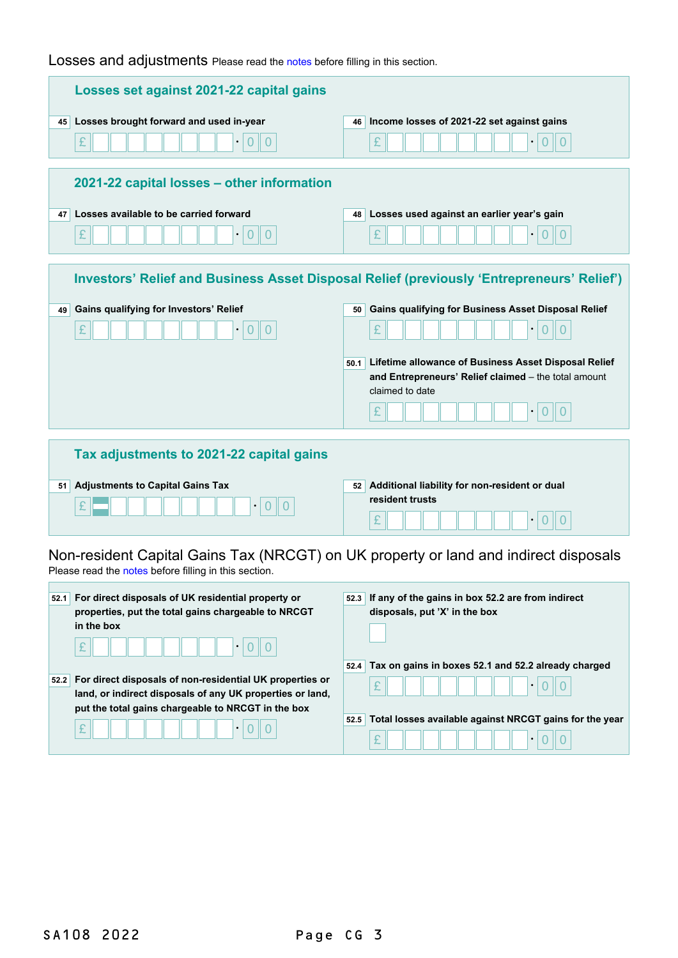Losses and adjustments Please read the [notes](http://www.hmrc.gov.uk/worksheets/sa108-notes.pdf) before filling in this section.

| Losses set against 2021-22 capital gains                                                                                                                                                              |                                                                                                                                                                                                                                                                                                                                            |  |
|-------------------------------------------------------------------------------------------------------------------------------------------------------------------------------------------------------|--------------------------------------------------------------------------------------------------------------------------------------------------------------------------------------------------------------------------------------------------------------------------------------------------------------------------------------------|--|
| Losses brought forward and used in-year<br>45<br>£<br>$\overline{0}$<br>$\Omega$                                                                                                                      | Income losses of 2021-22 set against gains<br>46  <br>$\overline{0}$<br>£<br>$\overline{0}$                                                                                                                                                                                                                                                |  |
| 2021-22 capital losses – other information<br>Losses available to be carried forward<br>47<br>£<br>$\overline{0}$<br>$\Omega$                                                                         | Losses used against an earlier year's gain<br>48  <br>£<br>$\Omega$                                                                                                                                                                                                                                                                        |  |
| <b>Gains qualifying for Investors' Relief</b><br>49                                                                                                                                                   | Investors' Relief and Business Asset Disposal Relief (previously 'Entrepreneurs' Relief')<br>Gains qualifying for Business Asset Disposal Relief<br>50<br>£<br>Lifetime allowance of Business Asset Disposal Relief<br>50.1<br>and Entrepreneurs' Relief claimed - the total amount<br>claimed to date<br>£<br>$\bullet$<br>$\overline{0}$ |  |
| Tax adjustments to 2021-22 capital gains<br><b>Adjustments to Capital Gains Tax</b><br>51                                                                                                             | 52 Additional liability for non-resident or dual<br>resident trusts<br>£<br>$\overline{0}$                                                                                                                                                                                                                                                 |  |
| Non-resident Capital Gains Tax (NRCGT) on UK property or land and indirect disposals<br>Please read the notes before filling in this section.                                                         |                                                                                                                                                                                                                                                                                                                                            |  |
| For direct disposals of UK residential property or<br>52.1<br>properties, put the total gains chargeable to NRCGT<br>in the box                                                                       | 52.3 If any of the gains in box 52.2 are from indirect<br>disposals, put 'X' in the box                                                                                                                                                                                                                                                    |  |
| For direct disposals of non-residential UK properties or<br>52.2<br>land, or indirect disposals of any UK properties or land,<br>put the total gains chargeable to NRCGT in the box<br>£<br>$\bullet$ | Tax on gains in boxes 52.1 and 52.2 already charged<br>52.4<br>£<br>$\bullet$<br>0<br>0<br>Total losses available against NRCGT gains for the year<br>52.5<br>£<br>$\bullet$                                                                                                                                                               |  |